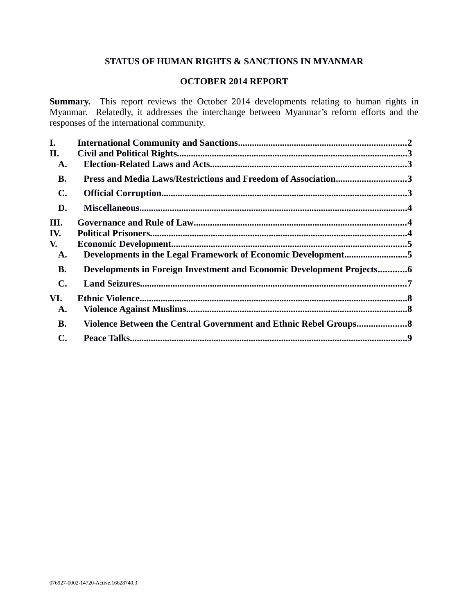# **STATUS OF HUMAN RIGHTS & SANCTIONS IN MYANMAR**

# **OCTOBER 2014 REPORT**

**Summary.** This report reviews the October 2014 developments relating to human rights in Myanmar. Relatedly, it addresses the interchange between Myanmar's reform efforts and the responses of the international community.

| L.             |                                                                       |  |
|----------------|-----------------------------------------------------------------------|--|
| II.            |                                                                       |  |
| A.             |                                                                       |  |
| <b>B.</b>      | Press and Media Laws/Restrictions and Freedom of Association3         |  |
| $\mathbf{C}$ . |                                                                       |  |
| D.             |                                                                       |  |
| III.           |                                                                       |  |
| IV.            |                                                                       |  |
| V.             |                                                                       |  |
| A.             | Developments in the Legal Framework of Economic Development5          |  |
| <b>B.</b>      | Developments in Foreign Investment and Economic Development Projects6 |  |
| $\mathbf{C}$ . |                                                                       |  |
| VI.            |                                                                       |  |
| A.             |                                                                       |  |
| <b>B.</b>      | Violence Between the Central Government and Ethnic Rebel Groups 8     |  |
| C.             |                                                                       |  |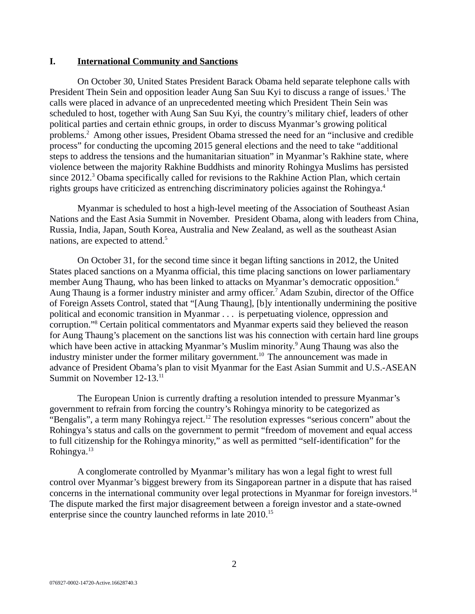### <span id="page-1-0"></span>**I. International Community and Sanctions**

On October 30, United States President Barack Obama held separate telephone calls with President Thein Sein and opposition leader Aung San Suu Kyi to discuss a range of issues.<sup>1</sup> The calls were placed in advance of an unprecedented meeting which President Thein Sein was scheduled to host, together with Aung San Suu Kyi, the country's military chief, leaders of other political parties and certain ethnic groups, in order to discuss Myanmar's growing political problems.<sup>2</sup> Among other issues, President Obama stressed the need for an "inclusive and credible process" for conducting the upcoming 2015 general elections and the need to take "additional steps to address the tensions and the humanitarian situation" in Myanmar's Rakhine state, where violence between the majority Rakhine Buddhists and minority Rohingya Muslims has persisted since 2012.<sup>3</sup> Obama specifically called for revisions to the Rakhine Action Plan, which certain rights groups have criticized as entrenching discriminatory policies against the Rohingya.<sup>4</sup>

Myanmar is scheduled to host a high-level meeting of the Association of Southeast Asian Nations and the East Asia Summit in November. President Obama, along with leaders from China, Russia, India, Japan, South Korea, Australia and New Zealand, as well as the southeast Asian nations, are expected to attend.<sup>5</sup>

On October 31, for the second time since it began lifting sanctions in 2012, the United States placed sanctions on a Myanma official, this time placing sanctions on lower parliamentary member Aung Thaung, who has been linked to attacks on Myanmar's democratic opposition.<sup>6</sup> Aung Thaung is a former industry minister and army officer.<sup>7</sup> Adam Szubin, director of the Office of Foreign Assets Control, stated that "[Aung Thaung], [b]y intentionally undermining the positive political and economic transition in Myanmar . . . is perpetuating violence, oppression and corruption."<sup>8</sup> Certain political commentators and Myanmar experts said they believed the reason for Aung Thaung's placement on the sanctions list was his connection with certain hard line groups which have been active in attacking Myanmar's Muslim minority.<sup>9</sup> Aung Thaung was also the industry minister under the former military government.<sup>10</sup> The announcement was made in advance of President Obama's plan to visit Myanmar for the East Asian Summit and U.S.-ASEAN Summit on November 12-13.<sup>11</sup>

The European Union is currently drafting a resolution intended to pressure Myanmar's government to refrain from forcing the country's Rohingya minority to be categorized as "Bengalis", a term many Rohingya reject.<sup>12</sup> The resolution expresses "serious concern" about the Rohingya's status and calls on the government to permit "freedom of movement and equal access to full citizenship for the Rohingya minority," as well as permitted "self-identification" for the Rohingya.<sup>13</sup>

A conglomerate controlled by Myanmar's military has won a legal fight to wrest full control over Myanmar's biggest brewery from its Singaporean partner in a dispute that has raised concerns in the international community over legal protections in Myanmar for foreign investors.<sup>14</sup> The dispute marked the first major disagreement between a foreign investor and a state-owned enterprise since the country launched reforms in late 2010.<sup>15</sup>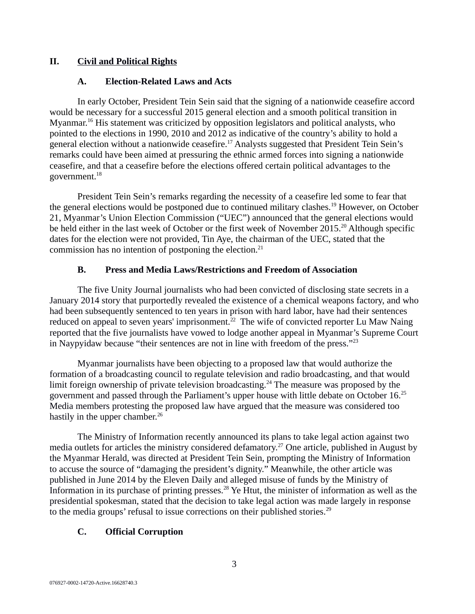# **II. Civil and Political Rights**

## <span id="page-2-3"></span><span id="page-2-2"></span>**A. Election-Related Laws and Acts**

In early October, President Tein Sein said that the signing of a nationwide ceasefire accord would be necessary for a successful 2015 general election and a smooth political transition in Myanmar.<sup>16</sup> His statement was criticized by opposition legislators and political analysts, who pointed to the elections in 1990, 2010 and 2012 as indicative of the country's ability to hold a general election without a nationwide ceasefire.<sup>17</sup> Analysts suggested that President Tein Sein's remarks could have been aimed at pressuring the ethnic armed forces into signing a nationwide ceasefire, and that a ceasefire before the elections offered certain political advantages to the government.<sup>18</sup>

President Tein Sein's remarks regarding the necessity of a ceasefire led some to fear that the general elections would be postponed due to continued military clashes.<sup>19</sup> However, on October 21, Myanmar's Union Election Commission ("UEC") announced that the general elections would be held either in the last week of October or the first week of November 2015.<sup>20</sup> Although specific dates for the election were not provided, Tin Aye, the chairman of the UEC, stated that the commission has no intention of postponing the election. $21$ 

## <span id="page-2-1"></span>**B. Press and Media Laws/Restrictions and Freedom of Association**

The five Unity Journal journalists who had been convicted of disclosing state secrets in a January 2014 story that purportedly revealed the existence of a chemical weapons factory, and who had been subsequently sentenced to ten years in prison with hard labor, have had their sentences reduced on appeal to seven years' imprisonment.<sup>22</sup> The wife of convicted reporter Lu Maw Naing reported that the five journalists have vowed to lodge another appeal in Myanmar's Supreme Court in Naypyidaw because "their sentences are not in line with freedom of the press." $^{23}$ 

Myanmar journalists have been objecting to a proposed law that would authorize the formation of a broadcasting council to regulate television and radio broadcasting, and that would limit foreign ownership of private television broadcasting.<sup>24</sup> The measure was proposed by the government and passed through the Parliament's upper house with little debate on October 16.<sup>25</sup> Media members protesting the proposed law have argued that the measure was considered too hastily in the upper chamber.<sup>26</sup>

The Ministry of Information recently announced its plans to take legal action against two media outlets for articles the ministry considered defamatory.<sup>27</sup> One article, published in August by the Myanmar Herald, was directed at President Tein Sein, prompting the Ministry of Information to accuse the source of "damaging the president's dignity." Meanwhile, the other article was published in June 2014 by the Eleven Daily and alleged misuse of funds by the Ministry of Information in its purchase of printing presses.<sup>28</sup> Ye Htut, the minister of information as well as the presidential spokesman, stated that the decision to take legal action was made largely in response to the media groups' refusal to issue corrections on their published stories. $^{29}$ 

# <span id="page-2-0"></span>**C. Official Corruption**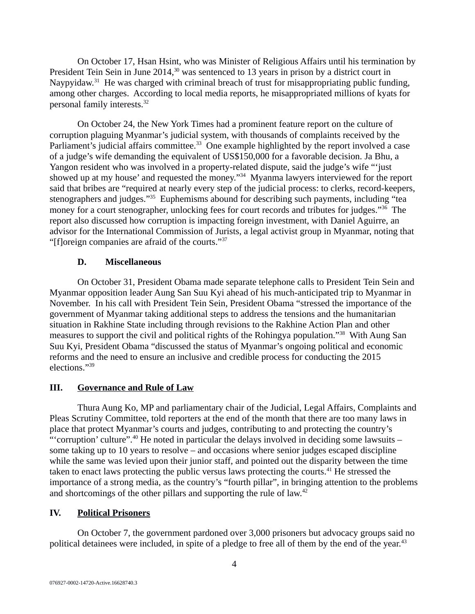On October 17, Hsan Hsint, who was Minister of Religious Affairs until his termination by President Tein Sein in June 2014,<sup>30</sup> was sentenced to 13 years in prison by a district court in Naypyidaw.<sup>31</sup> He was charged with criminal breach of trust for misappropriating public funding, among other charges. According to local media reports, he misappropriated millions of kyats for personal family interests.<sup>32</sup>

On October 24, the New York Times had a prominent feature report on the culture of corruption plaguing Myanmar's judicial system, with thousands of complaints received by the Parliament's judicial affairs committee.<sup>33</sup> One example highlighted by the report involved a case of a judge's wife demanding the equivalent of US\$150,000 for a favorable decision. Ja Bhu, a Yangon resident who was involved in a property-related dispute, said the judge's wife "'just showed up at my house' and requested the money."<sup>34</sup> Myanma lawyers interviewed for the report said that bribes are "required at nearly every step of the judicial process: to clerks, record-keepers, stenographers and judges."<sup>35</sup> Euphemisms abound for describing such payments, including "tea money for a court stenographer, unlocking fees for court records and tributes for judges."<sup>36</sup> The report also discussed how corruption is impacting foreign investment, with Daniel Aguirre, an advisor for the International Commission of Jurists, a legal activist group in Myanmar, noting that "[f]oreign companies are afraid of the courts."<sup>37</sup>

#### <span id="page-3-2"></span>**D. Miscellaneous**

On October 31, President Obama made separate telephone calls to President Tein Sein and Myanmar opposition leader Aung San Suu Kyi ahead of his much-anticipated trip to Myanmar in November. In his call with President Tein Sein, President Obama "stressed the importance of the government of Myanmar taking additional steps to address the tensions and the humanitarian situation in Rakhine State including through revisions to the Rakhine Action Plan and other measures to support the civil and political rights of the Rohingya population."<sup>38</sup> With Aung San Suu Kyi, President Obama "discussed the status of Myanmar's ongoing political and economic reforms and the need to ensure an inclusive and credible process for conducting the 2015 elections."<sup>39</sup>

## <span id="page-3-1"></span>**III. Governance and Rule of Law**

Thura Aung Ko, MP and parliamentary chair of the Judicial, Legal Affairs, Complaints and Pleas Scrutiny Committee, told reporters at the end of the month that there are too many laws in place that protect Myanmar's courts and judges, contributing to and protecting the country's "' corruption' culture".<sup>40</sup> He noted in particular the delays involved in deciding some lawsuits  $$ some taking up to 10 years to resolve – and occasions where senior judges escaped discipline while the same was levied upon their junior staff, and pointed out the disparity between the time taken to enact laws protecting the public versus laws protecting the courts.<sup>41</sup> He stressed the importance of a strong media, as the country's "fourth pillar", in bringing attention to the problems and shortcomings of the other pillars and supporting the rule of law.<sup>42</sup>

# <span id="page-3-0"></span>**IV. Political Prisoners**

On October 7, the government pardoned over 3,000 prisoners but advocacy groups said no political detainees were included, in spite of a pledge to free all of them by the end of the year.<sup>43</sup>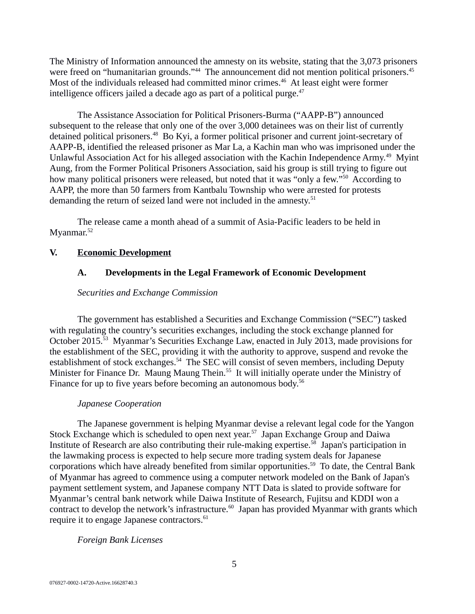The Ministry of Information announced the amnesty on its website, stating that the 3,073 prisoners were freed on "humanitarian grounds."<sup>44</sup> The announcement did not mention political prisoners.<sup>45</sup> Most of the individuals released had committed minor crimes.<sup>46</sup> At least eight were former intelligence officers jailed a decade ago as part of a political purge. $47$ 

The Assistance Association for Political Prisoners-Burma ("AAPP-B") announced subsequent to the release that only one of the over 3,000 detainees was on their list of currently detained political prisoners.<sup>48</sup> Bo Kyi, a former political prisoner and current joint-secretary of AAPP-B, identified the released prisoner as Mar La, a Kachin man who was imprisoned under the Unlawful Association Act for his alleged association with the Kachin Independence Army.<sup>49</sup> Myint Aung, from the Former Political Prisoners Association, said his group is still trying to figure out how many political prisoners were released, but noted that it was "only a few."<sup>50</sup> According to AAPP, the more than 50 farmers from Kantbalu Township who were arrested for protests demanding the return of seized land were not included in the amnesty.<sup>51</sup>

The release came a month ahead of a summit of Asia-Pacific leaders to be held in Myanmar.<sup>52</sup>

## **V. Economic Development**

# <span id="page-4-1"></span><span id="page-4-0"></span>**A. Developments in the Legal Framework of Economic Development**

## *Securities and Exchange Commission*

The government has established a Securities and Exchange Commission ("SEC") tasked with regulating the country's securities exchanges, including the stock exchange planned for October 2015.<sup>53</sup> Myanmar's Securities Exchange Law, enacted in July 2013, made provisions for the establishment of the SEC, providing it with the authority to approve, suspend and revoke the establishment of stock exchanges.<sup>54</sup> The SEC will consist of seven members, including Deputy Minister for Finance Dr. Maung Maung Thein.<sup>55</sup> It will initially operate under the Ministry of Finance for up to five years before becoming an autonomous body.<sup>56</sup>

# *Japanese Cooperation*

The Japanese government is helping Myanmar devise a relevant legal code for the Yangon Stock Exchange which is scheduled to open next year.<sup>57</sup> Japan Exchange Group and Daiwa Institute of Research are also contributing their rule-making expertise.<sup>58</sup> Japan's participation in the lawmaking process is expected to help secure more trading system deals for Japanese corporations which have already benefited from similar opportunities.<sup>59</sup> To date, the Central Bank of Myanmar has agreed to commence using a computer network modeled on the Bank of Japan's payment settlement system, and Japanese company NTT Data is slated to provide software for Myanmar's central bank network while Daiwa Institute of Research, Fujitsu and KDDI won a contract to develop the network's infrastructure.<sup>60</sup> Japan has provided Myanmar with grants which require it to engage Japanese contractors.<sup>61</sup>

# *Foreign Bank Licenses*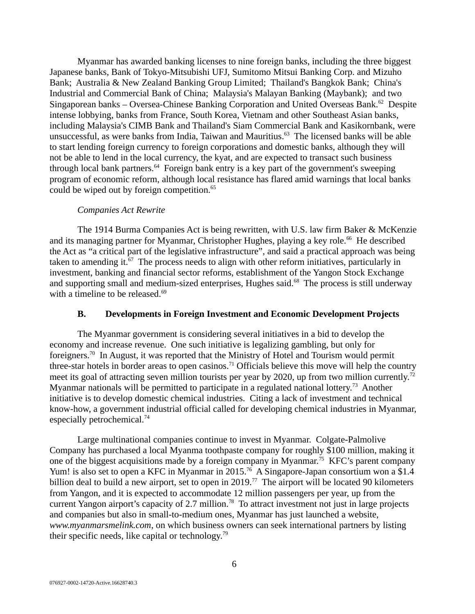Myanmar has awarded banking licenses to nine foreign banks, including the three biggest Japanese banks, Bank of Tokyo-Mitsubishi UFJ, Sumitomo Mitsui Banking Corp. and Mizuho Bank; Australia & New Zealand Banking Group Limited; Thailand's Bangkok Bank; China's Industrial and Commercial Bank of China; Malaysia's Malayan Banking (Maybank); and two Singaporean banks – Oversea-Chinese Banking Corporation and United Overseas Bank.<sup>62</sup> Despite intense lobbying, banks from France, South Korea, Vietnam and other Southeast Asian banks, including Malaysia's CIMB Bank and Thailand's Siam Commercial Bank and Kasikornbank, were unsuccessful, as were banks from India, Taiwan and Mauritius.<sup>63</sup> The licensed banks will be able to start lending foreign currency to foreign corporations and domestic banks, although they will not be able to lend in the local currency, the kyat, and are expected to transact such business through local bank partners.<sup>64</sup> Foreign bank entry is a key part of the government's sweeping program of economic reform, although local resistance has flared amid warnings that local banks could be wiped out by foreign competition.<sup>65</sup>

#### *Companies Act Rewrite*

The 1914 Burma Companies Act is being rewritten, with U.S. law firm Baker & McKenzie and its managing partner for Myanmar, Christopher Hughes, playing a key role.<sup>66</sup> He described the Act as "a critical part of the legislative infrastructure", and said a practical approach was being taken to amending it.<sup>67</sup> The process needs to align with other reform initiatives, particularly in investment, banking and financial sector reforms, establishment of the Yangon Stock Exchange and supporting small and medium-sized enterprises, Hughes said.<sup>68</sup> The process is still underway with a timeline to be released. $69$ 

#### <span id="page-5-0"></span>**B. Developments in Foreign Investment and Economic Development Projects**

The Myanmar government is considering several initiatives in a bid to develop the economy and increase revenue. One such initiative is legalizing gambling, but only for foreigners.<sup>70</sup> In August, it was reported that the Ministry of Hotel and Tourism would permit three-star hotels in border areas to open casinos.<sup>71</sup> Officials believe this move will help the country meet its goal of attracting seven million tourists per year by 2020, up from two million currently.<sup>72</sup> Myanmar nationals will be permitted to participate in a regulated national lottery.<sup>73</sup> Another initiative is to develop domestic chemical industries. Citing a lack of investment and technical know-how, a government industrial official called for developing chemical industries in Myanmar, especially petrochemical.<sup>74</sup>

Large multinational companies continue to invest in Myanmar. Colgate-Palmolive Company has purchased a local Myanma toothpaste company for roughly \$100 million, making it one of the biggest acquisitions made by a foreign company in Myanmar.<sup>75</sup> KFC's parent company Yum! is also set to open a KFC in Myanmar in 2015.<sup>76</sup> A Singapore-Japan consortium won a \$1.4 billion deal to build a new airport, set to open in 2019.<sup>77</sup> The airport will be located 90 kilometers from Yangon, and it is expected to accommodate 12 million passengers per year, up from the current Yangon airport's capacity of 2.7 million.<sup>78</sup> To attract investment not just in large projects and companies but also in small-to-medium ones, Myanmar has just launched a website, *www.myanmarsmelink.com*, on which business owners can seek international partners by listing their specific needs, like capital or technology.<sup>79</sup>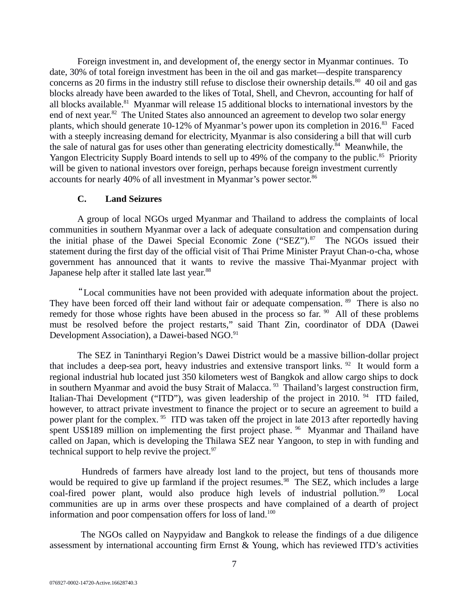Foreign investment in, and development of, the energy sector in Myanmar continues. To date, 30% of total foreign investment has been in the oil and gas market—despite transparency concerns as 20 firms in the industry still refuse to disclose their ownership details. $80\,$  40 oil and gas blocks already have been awarded to the likes of Total, Shell, and Chevron, accounting for half of all blocks available.<sup>81</sup> Myanmar will release 15 additional blocks to international investors by the end of next year.<sup>82</sup> The United States also announced an agreement to develop two solar energy plants, which should generate 10-12% of Myanmar's power upon its completion in 2016.<sup>83</sup> Faced with a steeply increasing demand for electricity, Myanmar is also considering a bill that will curb the sale of natural gas for uses other than generating electricity domestically.<sup>84</sup> Meanwhile, the Yangon Electricity Supply Board intends to sell up to 49% of the company to the public.<sup>85</sup> Priority will be given to national investors over foreign, perhaps because foreign investment currently accounts for nearly 40% of all investment in Myanmar's power sector.<sup>86</sup>

#### <span id="page-6-0"></span>**C. Land Seizures**

A group of local NGOs urged Myanmar and Thailand to address the complaints of local communities in southern Myanmar over a lack of adequate consultation and compensation during the initial phase of the Dawei Special Economic Zone ("SEZ"). $87$  The NGOs issued their statement during the first day of the official visit of Thai Prime Minister Prayut Chan-o-cha, whose government has announced that it wants to revive the massive Thai-Myanmar project with Japanese help after it stalled late last year.<sup>88</sup>

"Local communities have not been provided with adequate information about the project. They have been forced off their land without fair or adequate compensation. <sup>89</sup> There is also no remedy for those whose rights have been abused in the process so far.  $90$  All of these problems must be resolved before the project restarts," said Thant Zin, coordinator of DDA (Dawei Development Association), a Dawei-based NGO.<sup>91</sup>

The SEZ in Tanintharyi Region's Dawei District would be a massive billion-dollar project that includes a deep-sea port, heavy industries and extensive transport links. <sup>92</sup> It would form a regional industrial hub located just 350 kilometers west of Bangkok and allow cargo ships to dock in southern Myanmar and avoid the busy Strait of Malacca. <sup>93</sup> Thailand's largest construction firm, Italian-Thai Development ("ITD"), was given leadership of the project in 2010.  $94$  ITD failed, however, to attract private investment to finance the project or to secure an agreement to build a power plant for the complex. <sup>95</sup> ITD was taken off the project in late 2013 after reportedly having spent US\$189 million on implementing the first project phase.  $96$  Myanmar and Thailand have called on Japan, which is developing the Thilawa SEZ near Yangoon, to step in with funding and technical support to help revive the project. $97$ 

Hundreds of farmers have already lost land to the project, but tens of thousands more would be required to give up farmland if the project resumes.<sup>98</sup> The SEZ, which includes a large coal-fired power plant, would also produce high levels of industrial pollution.<sup>99</sup> Local communities are up in arms over these prospects and have complained of a dearth of project information and poor compensation offers for loss of land.<sup>100</sup>

The NGOs called on Naypyidaw and Bangkok to release the findings of a due diligence assessment by international accounting firm Ernst & Young, which has reviewed ITD's activities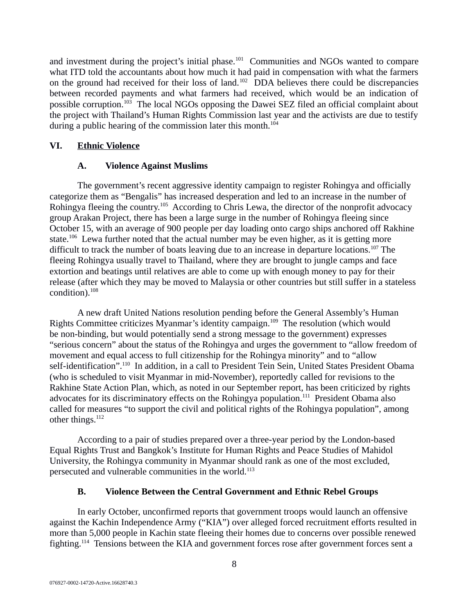and investment during the project's initial phase.<sup>101</sup> Communities and NGOs wanted to compare what ITD told the accountants about how much it had paid in compensation with what the farmers on the ground had received for their loss of land.<sup>102</sup> DDA believes there could be discrepancies between recorded payments and what farmers had received, which would be an indication of possible corruption.<sup>103</sup> The local NGOs opposing the Dawei SEZ filed an official complaint about the project with Thailand's Human Rights Commission last year and the activists are due to testify during a public hearing of the commission later this month.<sup>104</sup>

# **VI. Ethnic Violence**

## <span id="page-7-2"></span><span id="page-7-1"></span>**A. Violence Against Muslims**

The government's recent aggressive identity campaign to register Rohingya and officially categorize them as "Bengalis" has increased desperation and led to an increase in the number of Rohingya fleeing the country.<sup>105</sup> According to Chris Lewa, the director of the nonprofit advocacy group Arakan Project, there has been a large surge in the number of Rohingya fleeing since October 15, with an average of 900 people per day loading onto cargo ships anchored off Rakhine state.<sup>106</sup> Lewa further noted that the actual number may be even higher, as it is getting more difficult to track the number of boats leaving due to an increase in departure locations.<sup>107</sup> The fleeing Rohingya usually travel to Thailand, where they are brought to jungle camps and face extortion and beatings until relatives are able to come up with enough money to pay for their release (after which they may be moved to Malaysia or other countries but still suffer in a stateless condition).<sup>108</sup>

A new draft United Nations resolution pending before the General Assembly's Human Rights Committee criticizes Myanmar's identity campaign.<sup>109</sup> The resolution (which would be non-binding, but would potentially send a strong message to the government) expresses "serious concern" about the status of the Rohingya and urges the government to "allow freedom of movement and equal access to full citizenship for the Rohingya minority" and to "allow self-identification".<sup>110</sup> In addition, in a call to President Tein Sein, United States President Obama (who is scheduled to visit Myanmar in mid-November), reportedly called for revisions to the Rakhine State Action Plan, which, as noted in our September report, has been criticized by rights advocates for its discriminatory effects on the Rohingya population.<sup>111</sup> President Obama also called for measures "to support the civil and political rights of the Rohingya population", among other things.<sup>112</sup>

According to a pair of studies prepared over a three-year period by the London-based Equal Rights Trust and Bangkok's Institute for Human Rights and Peace Studies of Mahidol University, the Rohingya community in Myanmar should rank as one of the most excluded, persecuted and vulnerable communities in the world.<sup>113</sup>

## <span id="page-7-0"></span>**B. Violence Between the Central Government and Ethnic Rebel Groups**

In early October, unconfirmed reports that government troops would launch an offensive against the Kachin Independence Army ("KIA") over alleged forced recruitment efforts resulted in more than 5,000 people in Kachin state fleeing their homes due to concerns over possible renewed fighting.<sup>114</sup> Tensions between the KIA and government forces rose after government forces sent a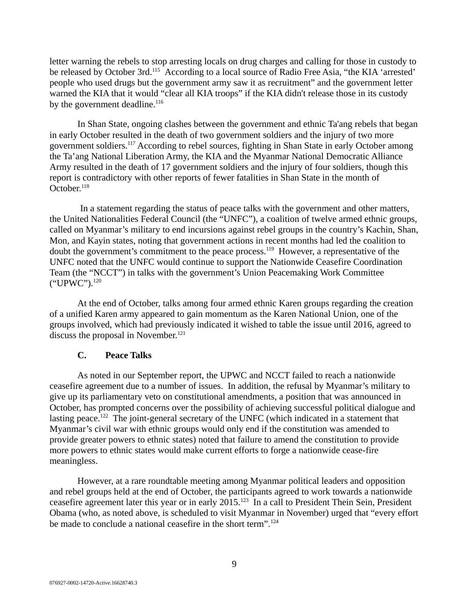letter warning the rebels to stop arresting locals on drug charges and calling for those in custody to be released by October 3rd.<sup>115</sup> According to a local source of Radio Free Asia, "the KIA 'arrested' people who used drugs but the government army saw it as recruitment" and the government letter warned the KIA that it would "clear all KIA troops" if the KIA didn't release those in its custody by the government deadline. $116$ 

In Shan State, ongoing clashes between the government and ethnic Ta'ang rebels that began in early October resulted in the death of two government soldiers and the injury of two more government soldiers.<sup>117</sup> According to rebel sources, fighting in Shan State in early October among the Ta'ang National Liberation Army, the KIA and the Myanmar National Democratic Alliance Army resulted in the death of 17 government soldiers and the injury of four soldiers, though this report is contradictory with other reports of fewer fatalities in Shan State in the month of  $October.<sup>118</sup>$ 

In a statement regarding the status of peace talks with the government and other matters, the United Nationalities Federal Council (the "UNFC"), a coalition of twelve armed ethnic groups, called on Myanmar's military to end incursions against rebel groups in the country's Kachin, Shan, Mon, and Kayin states, noting that government actions in recent months had led the coalition to doubt the government's commitment to the peace process.<sup>119</sup> However, a representative of the UNFC noted that the UNFC would continue to support the Nationwide Ceasefire Coordination Team (the "NCCT") in talks with the government's Union Peacemaking Work Committee ("UPWC").<sup>120</sup>

At the end of October, talks among four armed ethnic Karen groups regarding the creation of a unified Karen army appeared to gain momentum as the Karen National Union, one of the groups involved, which had previously indicated it wished to table the issue until 2016, agreed to discuss the proposal in November. $121$ 

## <span id="page-8-0"></span>**C. Peace Talks**

As noted in our September report, the UPWC and NCCT failed to reach a nationwide ceasefire agreement due to a number of issues. In addition, the refusal by Myanmar's military to give up its parliamentary veto on constitutional amendments, a position that was announced in October, has prompted concerns over the possibility of achieving successful political dialogue and lasting peace.<sup>122</sup> The joint-general secretary of the UNFC (which indicated in a statement that Myanmar's civil war with ethnic groups would only end if the constitution was amended to provide greater powers to ethnic states) noted that failure to amend the constitution to provide more powers to ethnic states would make current efforts to forge a nationwide cease-fire meaningless.

However, at a rare roundtable meeting among Myanmar political leaders and opposition and rebel groups held at the end of October, the participants agreed to work towards a nationwide ceasefire agreement later this year or in early 2015.<sup>123</sup> In a call to President Thein Sein, President Obama (who, as noted above, is scheduled to visit Myanmar in November) urged that "every effort be made to conclude a national ceasefire in the short term".<sup>124</sup>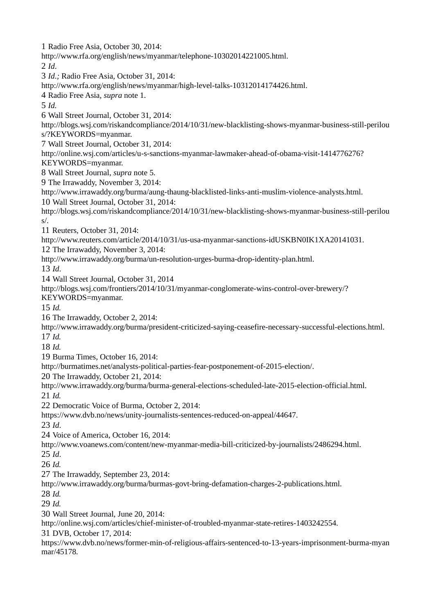1 Radio Free Asia, October 30, 2014: http://www.rfa.org/english/news/myanmar/telephone-10302014221005.html. 2 *Id*. 3 *Id*.*;* Radio Free Asia, October 31, 2014: http://www.rfa.org/english/news/myanmar/high-level-talks-10312014174426.html. 4 Radio Free Asia, *supra* note 1. 5 *Id.* 6 Wall Street Journal, October 31, 2014: http://blogs.wsj.com/riskandcompliance/2014/10/31/new-blacklisting-shows-myanmar-business-still-perilou s/?KEYWORDS=myanmar. 7 Wall Street Journal, October 31, 2014: http://online.wsj.com/articles/u-s-sanctions-myanmar-lawmaker-ahead-of-obama-visit-1414776276? KEYWORDS=myanmar. 8 Wall Street Journal, *supra* note 5. 9 The Irrawaddy, November 3, 2014: http://www.irrawaddy.org/burma/aung-thaung-blacklisted-links-anti-muslim-violence-analysts.html. 10 Wall Street Journal, October 31, 2014: http://blogs.wsj.com/riskandcompliance/2014/10/31/new-blacklisting-shows-myanmar-business-still-perilou s/. 11 Reuters, October 31, 2014: http://www.reuters.com/article/2014/10/31/us-usa-myanmar-sanctions-idUSKBN0IK1XA20141031. 12 The Irrawaddy, November 3, 2014: http://www.irrawaddy.org/burma/un-resolution-urges-burma-drop-identity-plan.html. 13 *Id*. 14 Wall Street Journal, October 31, 2014 http://blogs.wsj.com/frontiers/2014/10/31/myanmar-conglomerate-wins-control-over-brewery/? KEYWORDS=myanmar. 15 *Id.* 16 The Irrawaddy, October 2, 2014: http://www.irrawaddy.org/burma/president-criticized-saying-ceasefire-necessary-successful-elections.html. 17 *Id.*  18 *Id.* 19 Burma Times, October 16, 2014: http://burmatimes.net/analysts-political-parties-fear-postponement-of-2015-election/. 20 The Irrawaddy, October 21, 2014: http://www.irrawaddy.org/burma/burma-general-elections-scheduled-late-2015-election-official.html. 21 *Id.* 22 Democratic Voice of Burma, October 2, 2014: https://www.dvb.no/news/unity-journalists-sentences-reduced-on-appeal/44647. 23 *Id*. 24 Voice of America, October 16, 2014: http://www.voanews.com/content/new-myanmar-media-bill-criticized-by-journalists/2486294.html. 25 *Id*. 26 *Id.* 27 The Irrawaddy, September 23, 2014: http://www.irrawaddy.org/burma/burmas-govt-bring-defamation-charges-2-publications.html. 28 *Id.* 29 *Id.* 30 Wall Street Journal, June 20, 2014: http://online.wsj.com/articles/chief-minister-of-troubled-myanmar-state-retires-1403242554. 31 DVB, October 17, 2014: https://www.dvb.no/news/former-min-of-religious-affairs-sentenced-to-13-years-imprisonment-burma-myan mar/45178.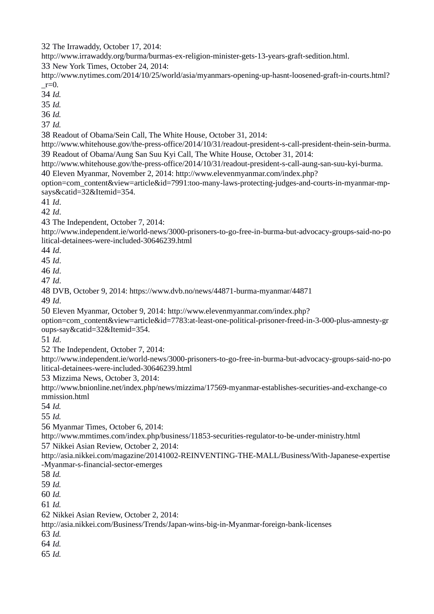The Irrawaddy, October 17, 2014:

http://www.irrawaddy.org/burma/burmas-ex-religion-minister-gets-13-years-graft-sedition.html.

New York Times, October 24, 2014:

http://www.nytimes.com/2014/10/25/world/asia/myanmars-opening-up-hasnt-loosened-graft-in-courts.html?  $r=0$ .

*Id.*

*Id.* 

*Id.* 

*Id.* 

Readout of Obama/Sein Call, The White House, October 31, 2014:

http://www.whitehouse.gov/the-press-office/2014/10/31/readout-president-s-call-president-thein-sein-burma. Readout of Obama/Aung San Suu Kyi Call, The White House, October 31, 2014:

http://www.whitehouse.gov/the-press-office/2014/10/31/readout-president-s-call-aung-san-suu-kyi-burma.

Eleven Myanmar, November 2, 2014: http://www.elevenmyanmar.com/index.php?

option=com\_content&view=article&id=7991:too-many-laws-protecting-judges-and-courts-in-myanmar-mpsays&catid=32&Itemid=354.

*Id*.

*Id*.

The Independent, October 7, 2014:

http://www.independent.ie/world-news/3000-prisoners-to-go-free-in-burma-but-advocacy-groups-said-no-po litical-detainees-were-included-30646239.html

*Id*.

*Id*.

*Id*.

*Id*.

DVB, October 9, 2014: https://www.dvb.no/news/44871-burma-myanmar/44871

*Id*.

Eleven Myanmar, October 9, 2014: http://www.elevenmyanmar.com/index.php?

option=com\_content&view=article&id=7783:at-least-one-political-prisoner-freed-in-3-000-plus-amnesty-gr oups-say&catid=32&Itemid=354.

*Id*.

The Independent, October 7, 2014:

http://www.independent.ie/world-news/3000-prisoners-to-go-free-in-burma-but-advocacy-groups-said-no-po litical-detainees-were-included-30646239.html

Mizzima News, October 3, 2014:

http://www.bnionline.net/index.php/news/mizzima/17569-myanmar-establishes-securities-and-exchange-co mmission.html

*Id.*

*Id.*

Myanmar Times, October 6, 2014:

http://www.mmtimes.com/index.php/business/11853-securities-regulator-to-be-under-ministry.html Nikkei Asian Review, October 2, 2014:

http://asia.nikkei.com/magazine/20141002-REINVENTING-THE-MALL/Business/With-Japanese-expertise -Myanmar-s-financial-sector-emerges

*Id.*

*Id.*

*Id.*

*Id.*

Nikkei Asian Review, October 2, 2014:

http://asia.nikkei.com/Business/Trends/Japan-wins-big-in-Myanmar-foreign-bank-licenses

*Id.*

*Id.*

*Id.*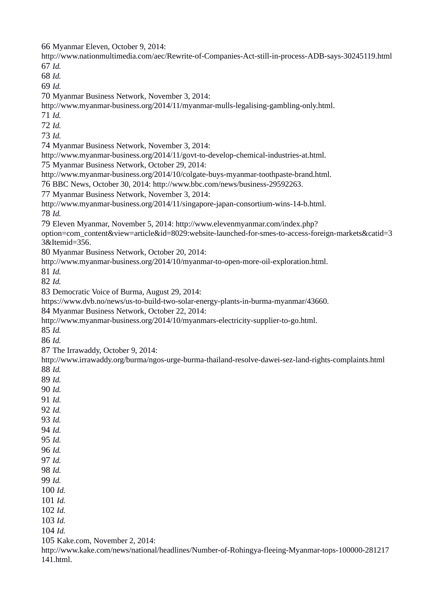Myanmar Eleven, October 9, 2014:

http://www.nationmultimedia.com/aec/Rewrite-of-Companies-Act-still-in-process-ADB-says-30245119.html *Id.*

*Id.*

*Id.*

Myanmar Business Network, November 3, 2014:

http://www.myanmar-business.org/2014/11/myanmar-mulls-legalising-gambling-only.html.

*Id.*

*Id.*

*Id.*

Myanmar Business Network, November 3, 2014:

http://www.myanmar-business.org/2014/11/govt-to-develop-chemical-industries-at.html.

Myanmar Business Network, October 29, 2014:

http://www.myanmar-business.org/2014/10/colgate-buys-myanmar-toothpaste-brand.html.

BBC News, October 30, 2014: http://www.bbc.com/news/business-29592263.

Myanmar Business Network, November 3, 2014:

http://www.myanmar-business.org/2014/11/singapore-japan-consortium-wins-14-b.html.

*Id.*

Eleven Myanmar, November 5, 2014: http://www.elevenmyanmar.com/index.php?

option=com\_content&view=article&id=8029:website-launched-for-smes-to-access-foreign-markets&catid=3 3&Itemid=356.

Myanmar Business Network, October 20, 2014:

http://www.myanmar-business.org/2014/10/myanmar-to-open-more-oil-exploration.html.

*Id.*

*Id.*

Democratic Voice of Burma, August 29, 2014:

https://www.dvb.no/news/us-to-build-two-solar-energy-plants-in-burma-myanmar/43660.

Myanmar Business Network, October 22, 2014:

http://www.myanmar-business.org/2014/10/myanmars-electricity-supplier-to-go.html.

*Id.*

*Id.*

The Irrawaddy, October 9, 2014:

http://www.irrawaddy.org/burma/ngos-urge-burma-thailand-resolve-dawei-sez-land-rights-complaints.html *Id.*

*Id.*

*Id.*

*Id.*

*Id.*

*Id.*

*Id.*

*Id.*

*Id.*

*Id.*

*Id.*

 *Id. Id.*

*Id.*

 *Id. Id.*

*Id.*

Kake.com, November 2, 2014:

http://www.kake.com/news/national/headlines/Number-of-Rohingya-fleeing-Myanmar-tops-100000-281217 141.html.